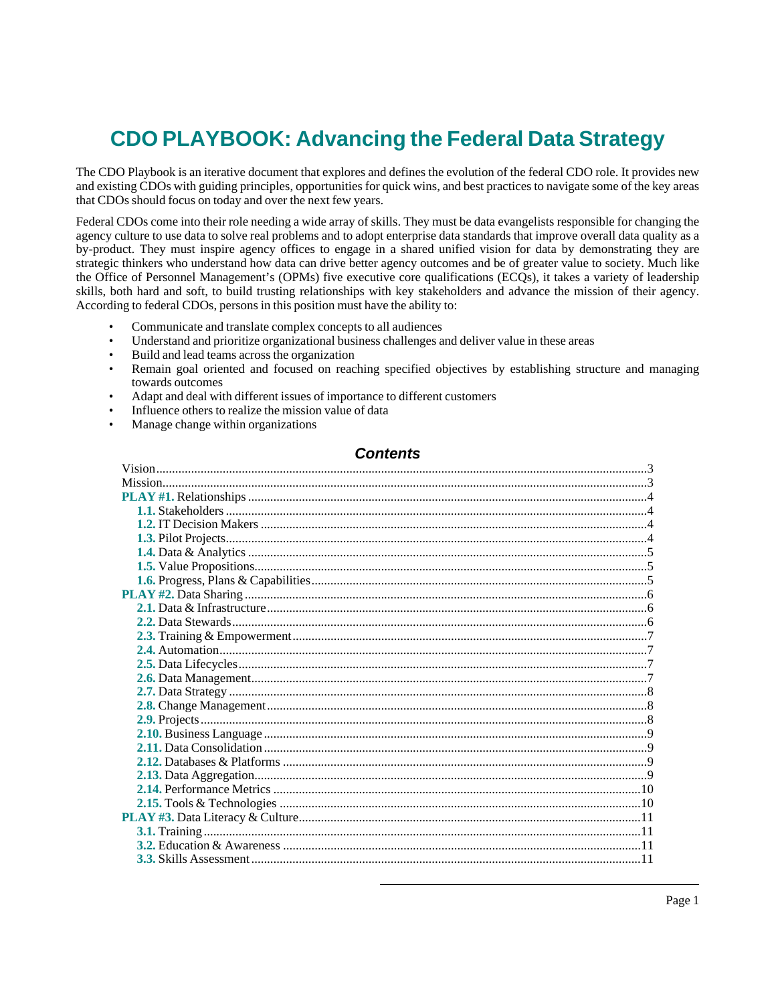# **CDO PLAYBOOK: Advancing the Federal Data Strategy**

The CDO Playbook is an iterative document that explores and defines the evolution of the federal CDO role. It provides new and existing CDOs with guiding principles, opportunities for quick wins, and best practices to navigate some of the key areas that CDOs should focus on today and over the next few years.

Federal CDOs come into their role needing a wide array of skills. They must be data evangelists responsible for changing the agency culture to use data to solve real problems and to adopt enterprise data standards that improve overall data quality as a by-product. They must inspire agency offices to engage in a shared unified vision for data by demonstrating they are strategic thinkers who understand how data can drive better agency outcomes and be of greater value to society. Much like the Office of Personnel Management's (OPMs) five executive core qualifications (ECQs), it takes a variety of leadership skills, both hard and soft, to build trusting relationships with key stakeholders and advance the mission of their agency. According to federal CDOs, persons in this position must have the ability to:

- Communicate and translate complex concepts to all audiences
- Understand and prioritize organizational business challenges and deliver value in these areas
- Build and lead teams across the organization
- Remain goal oriented and focused on reaching specified objectives by establishing structure and managing towards outcomes
- Adapt and deal with different issues of importance to different customers
- Influence others to realize the mission value of data
- Manage change within organizations

### **Contents**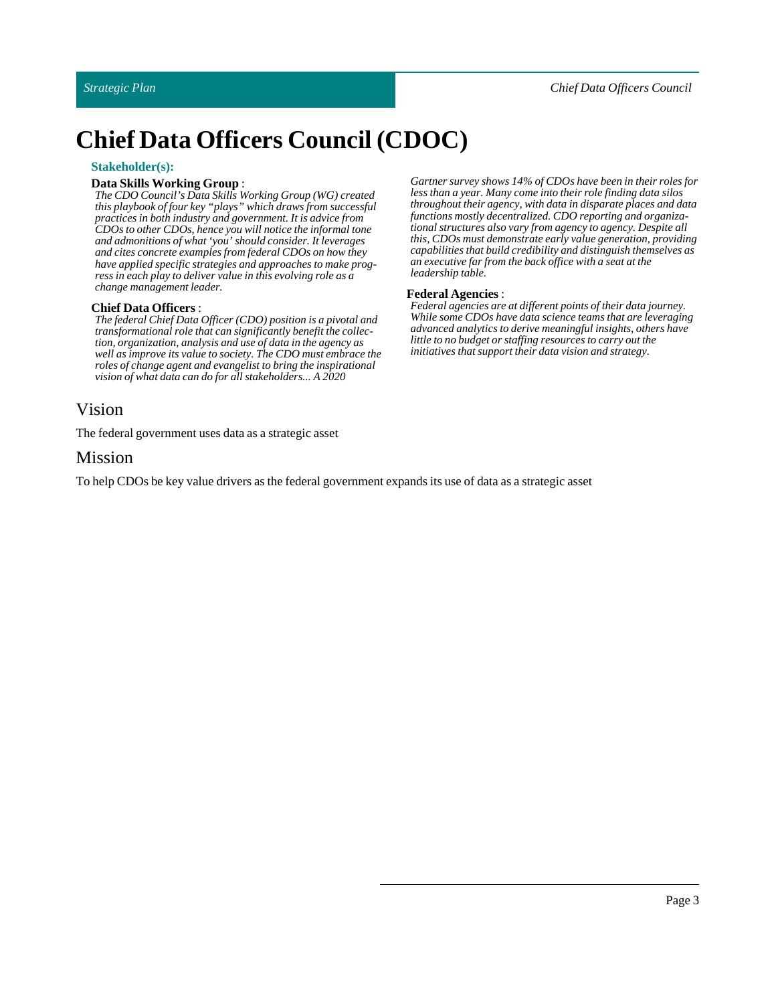# **Chief Data Officers Council (CDOC)**

### **Stakeholder(s):**

### **DataSkills Working Group**:

*The CDO Council's Data Skills Working Group (WG) created this playbook of four key "plays" which draws from successful practices in both industry and government. It is advice from CDOs to other CDOs, hence you will notice the informal tone and admonitions of what 'you' should consider. It leverages and cites concrete examples from federal CDOs on how they have applied specific strategies and approaches to make progress in each play to deliver value in this evolving role as a change management leader.*

### **Chief Data Officers** :

*The federal Chief Data Officer (CDO) position is a pivotal and transformational role that can significantly benefit the collection, organization, analysis and use of data in the agency as well as improve its value to society. The CDO must embrace the roles of change agent and evangelist to bring the inspirational vision of what data can do for all stakeholders... A 2020*

# <span id="page-2-0"></span>Vision

The federal government uses data as a strategic asset

# <span id="page-2-1"></span>Mission

To help CDOs be key value drivers as the federal government expands its use of data as a strategic asset

*Gartner survey shows 14% of CDOs have been in their roles for less than a year. Many come into their role finding data silos throughout their agency, with data in disparate places and data functions mostly decentralized. CDO reporting and organizational structures also vary from agency to agency. Despite all this, CDOs must demonstrate early value generation, providing capabilities that build credibility and distinguish themselves as an executive far from the back office with a seat at the leadership table.*

### **Federal Agencies** :

*Federal agencies are at different points of their data journey. While some CDOs have data science teams that are leveraging advanced analytics to derive meaningful insights, others have little to no budget or staffing resources to carry out the initiatives that support their data vision and strategy.*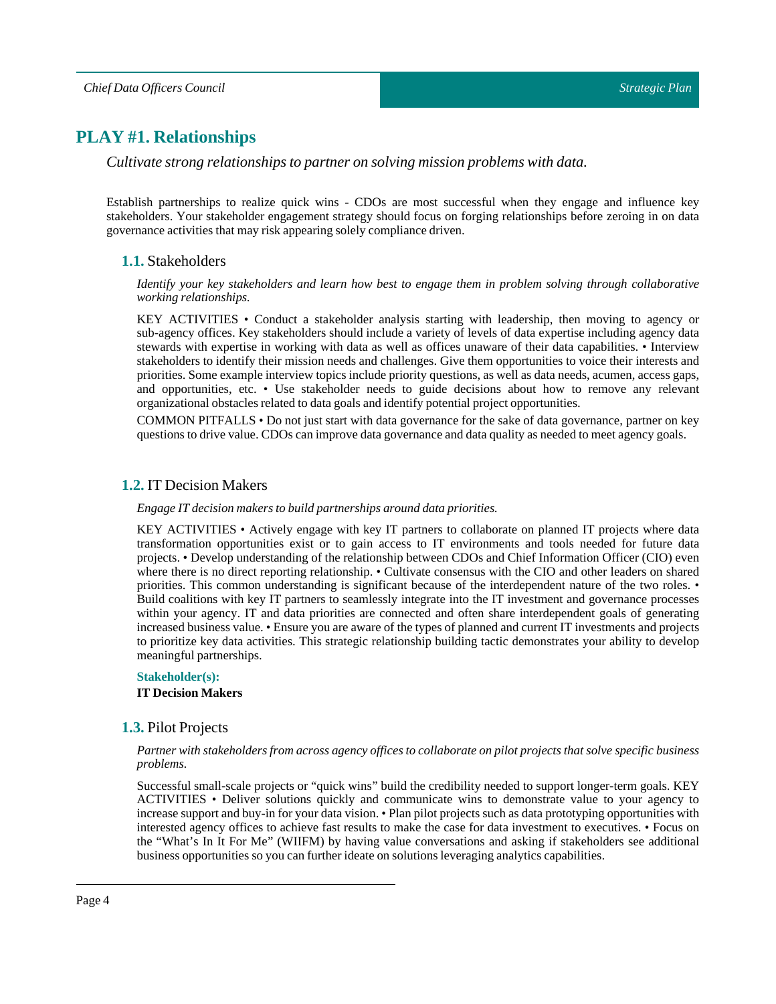# <span id="page-3-0"></span>**PLAY #1. Relationships**

*Cultivate strong relationships to partner on solving mission problems with data.*

<span id="page-3-1"></span>Establish partnerships to realize quick wins - CDOs are most successful when they engage and influence key stakeholders. Your stakeholder engagement strategy should focus on forging relationships before zeroing in on data governance activities that may risk appearing solely compliance driven.

# **1.1.** Stakeholders

*Identify your key stakeholders and learn how best to engage them in problem solving through collaborative working relationships.*

KEY ACTIVITIES • Conduct a stakeholder analysis starting with leadership, then moving to agency or sub-agency offices. Key stakeholders should include a variety of levels of data expertise including agency data stewards with expertise in working with data as well as offices unaware of their data capabilities. • Interview stakeholders to identify their mission needs and challenges. Give them opportunities to voice their interests and priorities. Some example interview topics include priority questions, as well as data needs, acumen, access gaps, and opportunities, etc. • Use stakeholder needs to guide decisions about how to remove any relevant organizational obstacles related to data goals and identify potential project opportunities.

COMMON PITFALLS • Do not just start with data governance for the sake of data governance, partner on key questions to drive value. CDOs can improve data governance and data quality as needed to meet agency goals.

### <span id="page-3-2"></span>**1.2.** IT Decision Makers

*Engage ITdecision makers to build partnerships around data priorities.*

KEY ACTIVITIES • Actively engage with key IT partners to collaborate on planned IT projects where data transformation opportunities exist or to gain access to IT environments and tools needed for future data projects. • Develop understanding of the relationship between CDOs and Chief Information Officer (CIO) even where there is no direct reporting relationship. • Cultivate consensus with the CIO and other leaders on shared priorities. This common understanding is significant because of the interdependent nature of the two roles. • Build coalitions with key IT partners to seamlessly integrate into the IT investment and governance processes within your agency. IT and data priorities are connected and often share interdependent goals of generating increased business value. • Ensure you are aware of the types of planned and current IT investments and projects to prioritize key data activities. This strategic relationship building tactic demonstrates your ability to develop meaningful partnerships.

### **Stakeholder(s):**

### **IT Decision Makers**

### <span id="page-3-3"></span>**1.3.** Pilot Projects

### Partner with stakeholders from across agency offices to collaborate on pilot projects that solve specific business *problems.*

Successful small-scale projects or "quick wins" build the credibility needed to support longer-term goals. KEY ACTIVITIES • Deliver solutions quickly and communicate wins to demonstrate value to your agency to increase support and buy-in for your data vision. • Plan pilot projects such as data prototyping opportunities with interested agency offices to achieve fast results to make the case for data investment to executives. • Focus on the "What's In It For Me" (WIIFM) by having value conversations and asking if stakeholders see additional business opportunities so you can further ideate on solutions leveraging analytics capabilities.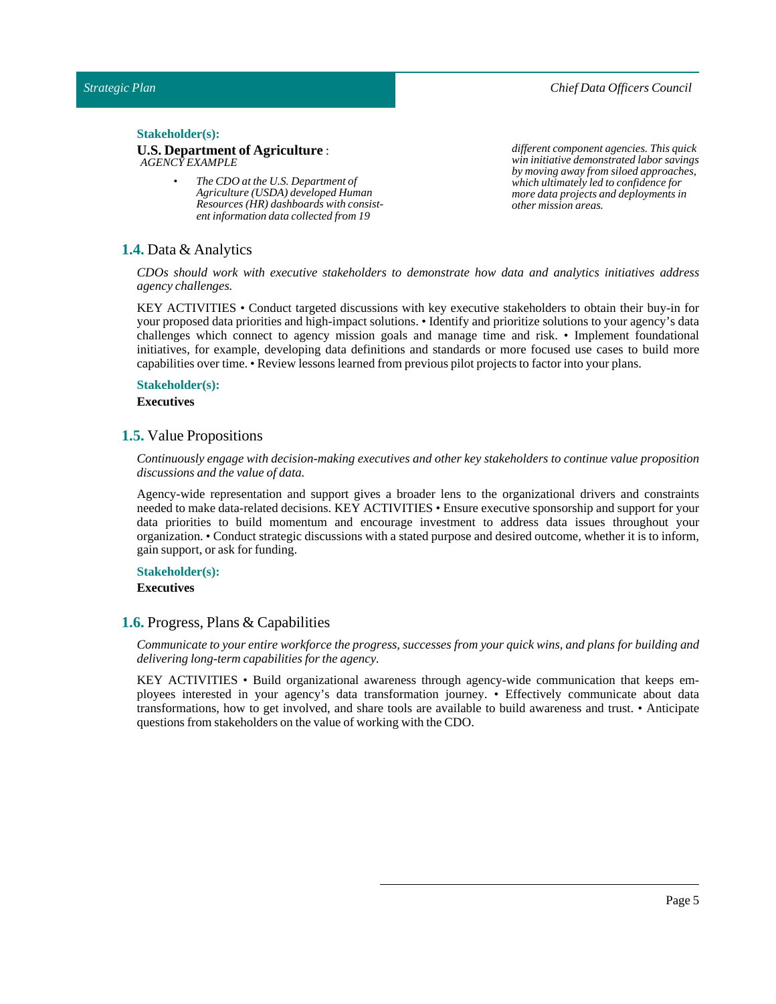*Chief Data Officers Council*

### Stakeholder(s):

### **U.S. Department of Agriculture** : *AGENCY EXAMPLE*

*• The CDO at the U.S. Department of Agriculture (USDA) developed Human Resources (HR) dashboards with consistent information data collected from 19*

*different component agencies. This quick win initiative demonstrated labor savings by moving away from siloed approaches, which ultimately led to confidence for more data projects and deployments in other mission areas.*

### <span id="page-4-0"></span>**1.4.** Data & Analytics

*CDOs should work with executive stakeholders to demonstrate how data and analytics initiatives address agency challenges.*

KEY ACTIVITIES • Conduct targeted discussions with key executive stakeholders to obtain their buy-in for your proposed data priorities and high-impact solutions. • Identify and prioritize solutions to your agency's data challenges which connect to agency mission goals and manage time and risk. • Implement foundational initiatives, for example, developing data definitions and standards or more focused use cases to build more capabilities over time. • Review lessons learned from previous pilot projects to factor into your plans.

### **Stakeholder(s):**

### **Executives**

### <span id="page-4-1"></span>**1.5.** Value Propositions

*Continuously engage with decision-making executives and other key stakeholders to continue value proposition discussions and the value of data.*

Agency-wide representation and support gives a broader lens to the organizational drivers and constraints needed to make data-related decisions. KEY ACTIVITIES • Ensure executive sponsorship and support for your data priorities to build momentum and encourage investment to address data issues throughout your organization. • Conduct strategic discussions with a stated purpose and desired outcome, whether it is to inform, gain support, or ask for funding.

### **Stakeholder(s):**

**Executives**

### <span id="page-4-2"></span>**1.6.** Progress, Plans & Capabilities

Communicate to your entire workforce the progress, successes from your quick wins, and plans for building and *delivering long-term capabilities for the agency.*

KEY ACTIVITIES • Build organizational awareness through agency-wide communication that keeps employees interested in your agency's data transformation journey. • Effectively communicate about data transformations, how to get involved, and share tools are available to build awareness and trust. • Anticipate questions from stakeholders on the value of working with the CDO.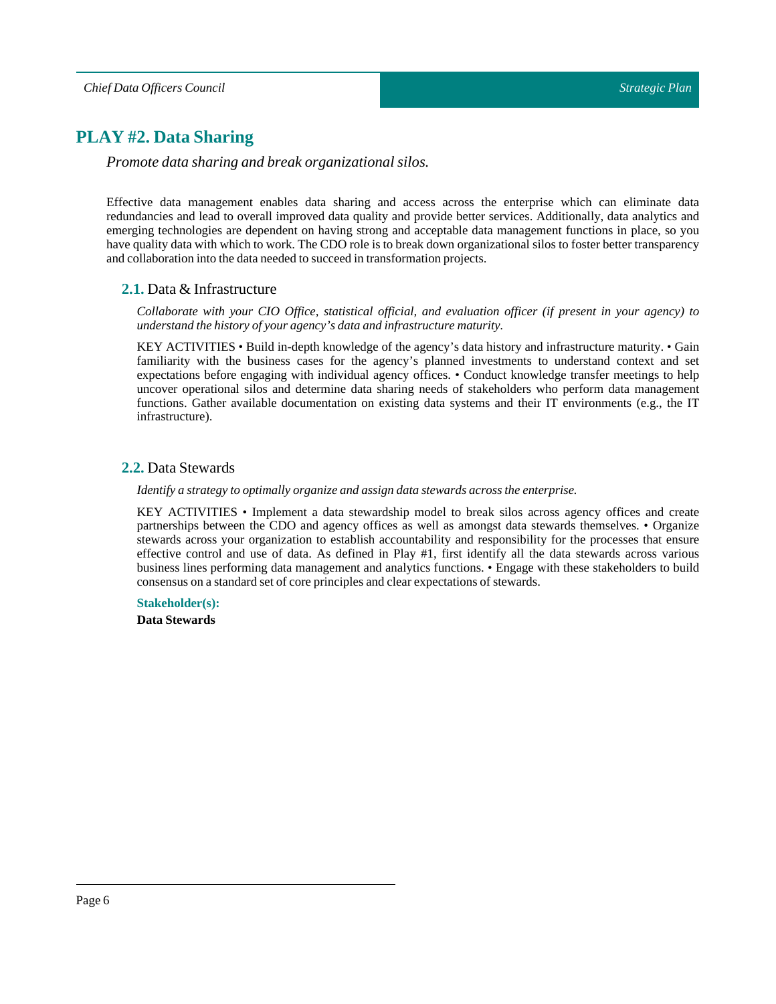# <span id="page-5-0"></span>**PLAY #2. Data Sharing**

*Promote data sharing and break organizational silos.*

Effective data management enables data sharing and access across the enterprise which can eliminate data redundancies and lead to overall improved data quality and provide better services. Additionally, data analytics and emerging technologies are dependent on having strong and acceptable data management functions in place, so you have quality data with which to work. The CDO role is to break down organizational silos to foster better transparency and collaboration into the data needed to succeed in transformation projects.

# <span id="page-5-1"></span>**2.1.** Data & Infrastructure

*Collaborate with your CIO Office, statistical official, and evaluation officer (if present in your agency) to understand the history of your agency's data and infrastructure maturity.*

KEY ACTIVITIES • Build in-depth knowledge of the agency's data history and infrastructure maturity. • Gain familiarity with the business cases for the agency's planned investments to understand context and set expectations before engaging with individual agency offices. • Conduct knowledge transfer meetings to help uncover operational silos and determine data sharing needs of stakeholders who perform data management functions. Gather available documentation on existing data systems and their IT environments (e.g., the IT infrastructure).

# <span id="page-5-2"></span>**2.2.** Data Stewards

*Identify a strategy to optimally organize and assign data stewards across the enterprise.*

KEY ACTIVITIES • Implement a data stewardship model to break silos across agency offices and create partnerships between the CDO and agency offices as well as amongst data stewards themselves. • Organize stewards across your organization to establish accountability and responsibility for the processes that ensure effective control and use of data. As defined in Play #1, first identify all the data stewards across various business lines performing data management and analytics functions. • Engage with these stakeholders to build consensus on a standard set of core principles and clear expectations of stewards.

# **Stakeholder(s):**

**DataStewards**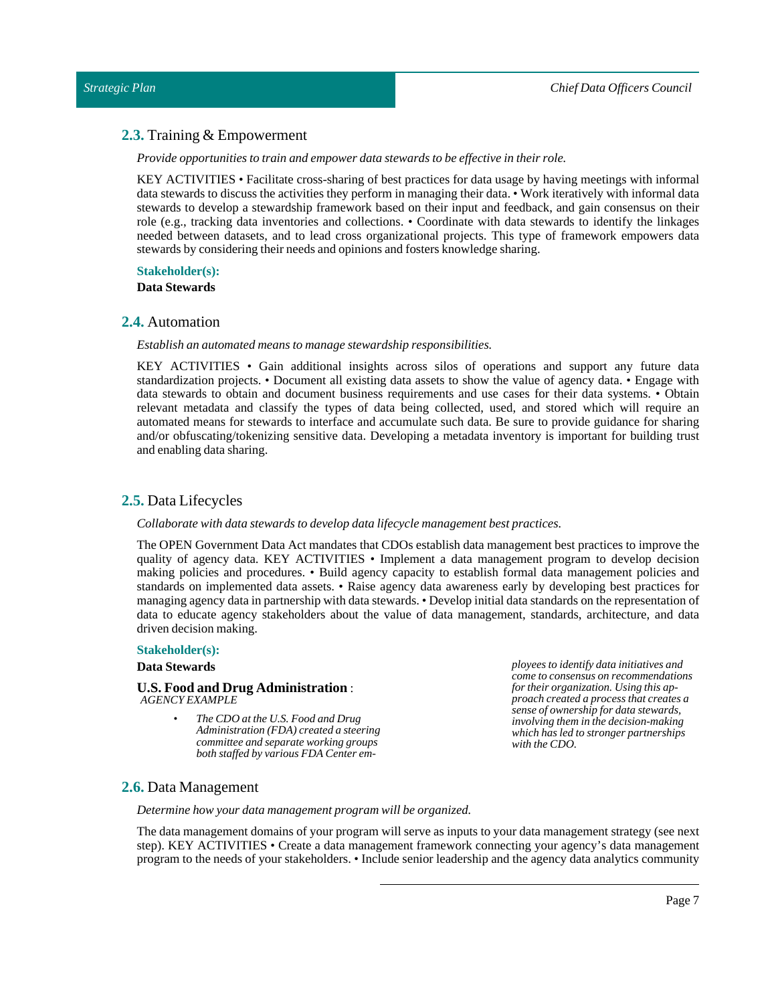### <span id="page-6-0"></span>**2.3.** Training & Empowerment

*Provide opportunities to train and empower data stewards to be effective in their role.*

KEY ACTIVITIES • Facilitate cross-sharing of best practices for data usage by having meetings with informal data stewards to discuss the activities they perform in managing their data. • Work iteratively with informal data stewards to develop a stewardship framework based on their input and feedback, and gain consensus on their role (e.g., tracking data inventories and collections. • Coordinate with data stewards to identify the linkages needed between datasets, and to lead cross organizational projects. This type of framework empowers data stewards by considering their needs and opinions and fosters knowledge sharing.

**Stakeholder(s):**

**DataStewards**

### <span id="page-6-1"></span>**2.4.** Automation

*Establish an automated means to manage stewardship responsibilities.*

KEY ACTIVITIES • Gain additional insights across silos of operations and support any future data standardization projects. • Document all existing data assets to show the value of agency data. • Engage with data stewards to obtain and document business requirements and use cases for their data systems. • Obtain relevant metadata and classify the types of data being collected, used, and stored which will require an automated means for stewards to interface and accumulate such data. Be sure to provide guidance for sharing and/or obfuscating/tokenizing sensitive data. Developing a metadata inventory is important for building trust and enabling data sharing.

### <span id="page-6-2"></span>**2.5.** Data Lifecycles

### *Collaborate with data stewards to develop data lifecycle management best practices.*

The OPEN Government Data Act mandates that CDOs establish data management best practices to improve the quality of agency data. KEY ACTIVITIES • Implement a data management program to develop decision making policies and procedures. • Build agency capacity to establish formal data management policies and standards on implemented data assets. • Raise agency data awareness early by developing best practices for managing agency data in partnership with data stewards. • Develop initial data standards on the representation of data to educate agency stakeholders about the value of data management, standards, architecture, and data driven decision making.

### **Stakeholder(s):**

### **DataStewards**

#### **U.S. Food and Drug Administration** : *AGENCY EXAMPLE*

*• The CDO at the U.S. Food and Drug Administration (FDA) created a steering committee and separate working groups both staffed by various FDA Center em-* *ployees to identify data initiatives and come to consensus on recommendations for their organization. Using this approach created a process that creates a sense of ownership for data stewards, involving them in the decision-making which has led to stronger partnerships with the CDO.*

# <span id="page-6-3"></span>**2.6.** Data Management

*Determine how your data management program will be organized.*

The data management domains of your program will serve as inputs to your data management strategy (see next step). KEY ACTIVITIES • Create a data management framework connecting your agency's data management program to the needs of your stakeholders. • Include senior leadership and the agency data analytics community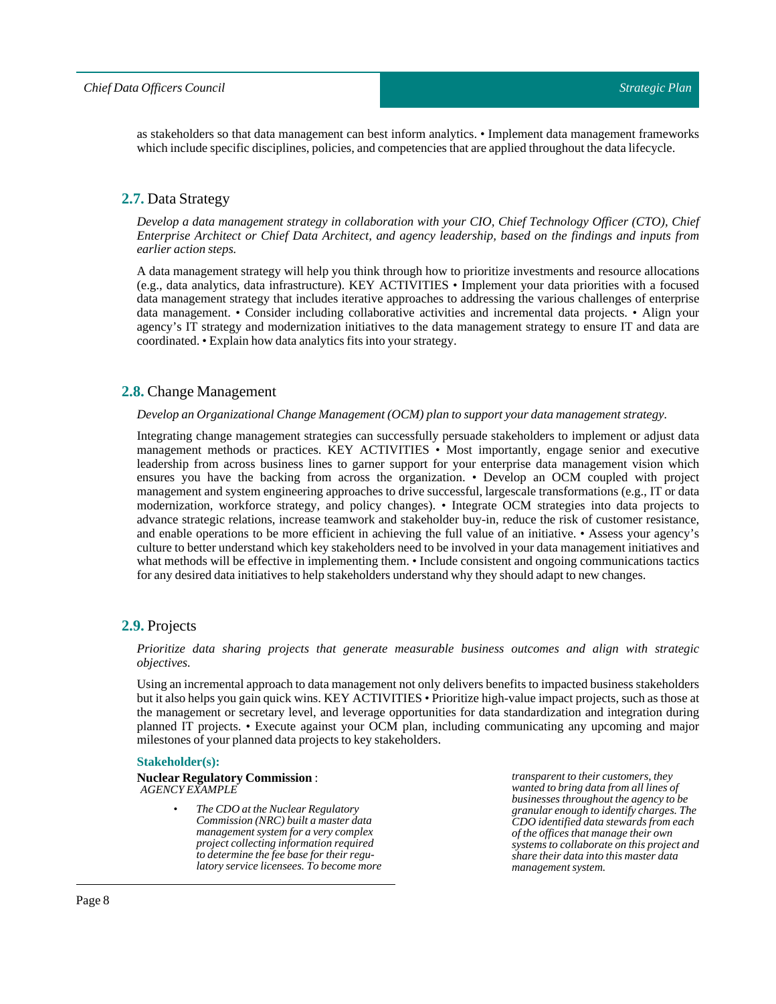as stakeholders so that data management can best inform analytics. • Implement data management frameworks which include specific disciplines, policies, and competencies that are applied throughout the data lifecycle.

# <span id="page-7-0"></span>**2.7.** Data Strategy

*Develop a data management strategy in collaboration with your CIO, Chief Technology Officer (CTO), Chief Enterprise Architect or Chief Data Architect, and agency leadership, based on the findings and inputs from earlier action steps.*

A data management strategy will help you think through how to prioritize investments and resource allocations (e.g., data analytics, data infrastructure). KEY ACTIVITIES • Implement your data priorities with a focused data management strategy that includes iterative approaches to addressing the various challenges of enterprise data management. • Consider including collaborative activities and incremental data projects. • Align your agency's IT strategy and modernization initiatives to the data management strategy to ensure IT and data are coordinated. • Explain how data analytics fits into your strategy.

# <span id="page-7-1"></span>**2.8.** Change Management

### *Develop an Organizational Change Management (OCM) plan to support your data management strategy.*

Integrating change management strategies can successfully persuade stakeholders to implement or adjust data management methods or practices. KEY ACTIVITIES • Most importantly, engage senior and executive leadership from across business lines to garner support for your enterprise data management vision which ensures you have the backing from across the organization. • Develop an OCM coupled with project management and system engineering approaches to drive successful, largescale transformations (e.g., IT or data modernization, workforce strategy, and policy changes). • Integrate OCM strategies into data projects to advance strategic relations, increase teamwork and stakeholder buy-in, reduce the risk of customer resistance, and enable operations to be more efficient in achieving the full value of an initiative. • Assess your agency's culture to better understand which key stakeholders need to be involved in your data management initiatives and what methods will be effective in implementing them. • Include consistent and ongoing communications tactics for any desired data initiatives to help stakeholders understand why they should adapt to new changes.

# <span id="page-7-2"></span>**2.9.** Projects

### *Prioritize data sharing projects that generate measurable business outcomes and align with strategic objectives.*

Using an incremental approach to data management not only delivers benefits to impacted business stakeholders but it also helps you gain quick wins. KEY ACTIVITIES • Prioritize high-value impact projects, such as those at the management or secretary level, and leverage opportunities for data standardization and integration during planned IT projects. • Execute against your OCM plan, including communicating any upcoming and major milestones of your planned data projects to key stakeholders.

### **Stakeholder(s):**

#### **Nuclear Regulatory Commission**: *AGENCY EXAMPLE*

*• The CDO at the Nuclear Regulatory Commission (NRC) built a master data management system for a very complex project collecting information required to determine the fee base for their regulatory service licensees. To become more* *transparent to their customers, they wanted to bring data from all lines of businesses throughout the agency to be granular enough to identify charges. The CDO identified data stewards from each of the offices that manage their own systems to collaborate on this project and share their data into this master data management system.*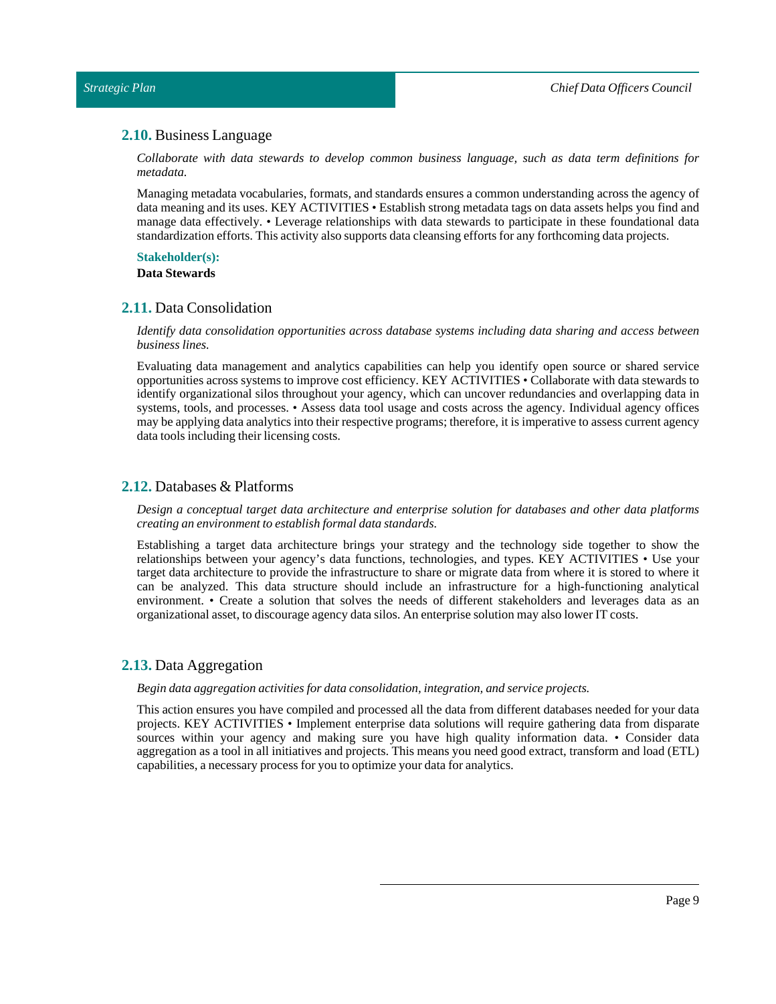### <span id="page-8-0"></span>**2.10.** Business Language

*Collaborate with data stewards to develop common business language, such as data term definitions for metadata.*

Managing metadata vocabularies, formats, and standards ensures a common understanding across the agency of data meaning and its uses. KEY ACTIVITIES • Establish strong metadata tags on data assets helps you find and manage data effectively. • Leverage relationships with data stewards to participate in these foundational data standardization efforts. This activity also supports data cleansing efforts for any forthcoming data projects.

# **Stakeholder(s):**

**DataStewards**

# <span id="page-8-1"></span>**2.11.** Data Consolidation

*Identify data consolidation opportunities across database systems including data sharing and access between business lines.*

Evaluating data management and analytics capabilities can help you identify open source or shared service opportunities across systems to improve cost efficiency. KEY ACTIVITIES • Collaborate with data stewards to identify organizational silos throughout your agency, which can uncover redundancies and overlapping data in systems, tools, and processes. • Assess data tool usage and costs across the agency. Individual agency offices may be applying data analytics into their respective programs;therefore, it is imperative to assess current agency data tools including their licensing costs.

# <span id="page-8-2"></span>**2.12.** Databases & Platforms

*Design a conceptual target data architecture and enterprise solution for databases and other data platforms creating an environmentto establish formal data standards.*

Establishing a target data architecture brings your strategy and the technology side together to show the relationships between your agency's data functions, technologies, and types. KEY ACTIVITIES • Use your target data architecture to provide the infrastructure to share or migrate data from where it is stored to where it can be analyzed. This data structure should include an infrastructure for a high-functioning analytical environment. • Create a solution that solves the needs of different stakeholders and leverages data as an organizational asset, to discourage agency data silos. An enterprise solution may also lower IT costs.

### <span id="page-8-3"></span>**2.13.** Data Aggregation

*Begin data aggregation activities for data consolidation,integration, and service projects.*

This action ensures you have compiled and processed all the data from different databases needed for your data projects. KEY ACTIVITIES • Implement enterprise data solutions will require gathering data from disparate sources within your agency and making sure you have high quality information data. • Consider data aggregation as a tool in all initiatives and projects. This means you need good extract, transform and load (ETL) capabilities, a necessary process for you to optimize your data for analytics.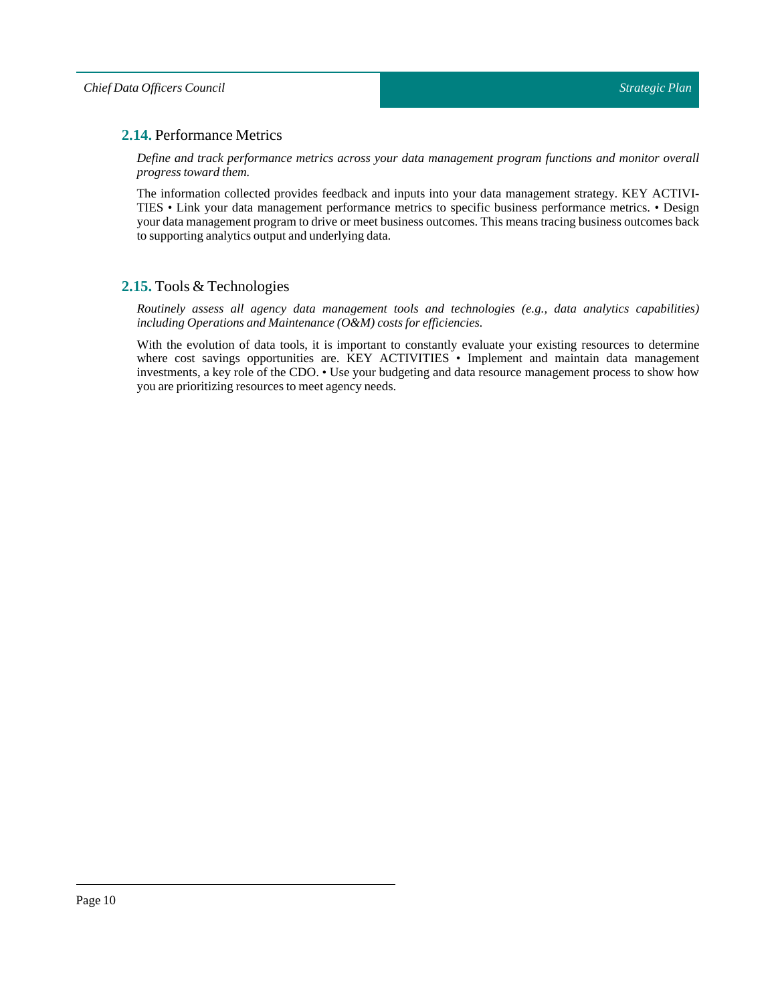# <span id="page-9-0"></span>**2.14.** Performance Metrics

*Define and track performance metrics across your data management program functions and monitor overall progress toward them.*

The information collected provides feedback and inputs into your data management strategy. KEY ACTIVI-TIES • Link your data management performance metrics to specific business performance metrics. • Design your data management program to drive or meet business outcomes. This means tracing business outcomes back to supporting analytics output and underlying data.

# <span id="page-9-1"></span>**2.15.** Tools & Technologies

*Routinely assess all agency data management tools and technologies (e.g., data analytics capabilities) including Operations and Maintenance (O&M) costs for efficiencies.*

With the evolution of data tools, it is important to constantly evaluate your existing resources to determine where cost savings opportunities are. KEY ACTIVITIES • Implement and maintain data management investments, a key role of the CDO. • Use your budgeting and data resource management process to show how you are prioritizing resources to meet agency needs.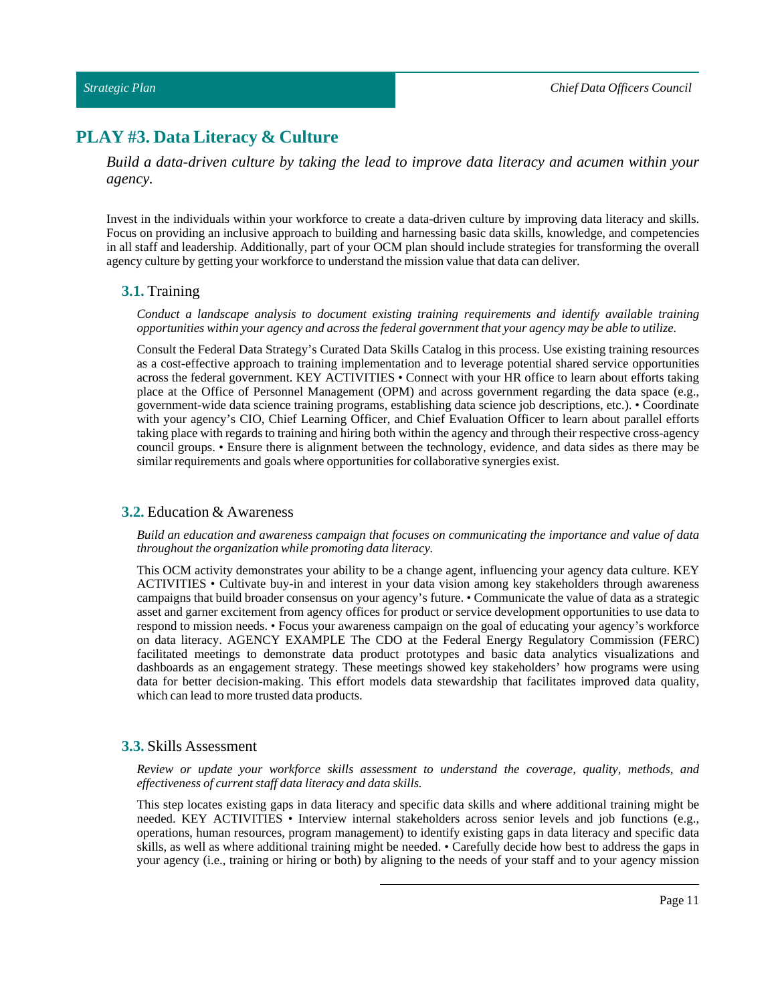# <span id="page-10-0"></span>**PLAY #3. Data Literacy & Culture**

*Build a data-driven culture by taking the lead to improve data literacy and acumen within your agency.*

Invest in the individuals within your workforce to create a data-driven culture by improving data literacy and skills. Focus on providing an inclusive approach to building and harnessing basic data skills, knowledge, and competencies in all staff and leadership. Additionally, part of your OCM plan should include strategies for transforming the overall agency culture by getting your workforce to understand the mission value that data can deliver.

### <span id="page-10-1"></span>**3.1.** Training

*Conduct a landscape analysis to document existing training requirements and identify available training opportunities within your agency and across the federal governmentthat your agency may be able to utilize.*

Consult the Federal Data Strategy's Curated Data Skills Catalog in this process. Use existing training resources as a cost-effective approach to training implementation and to leverage potential shared service opportunities across the federal government. KEY ACTIVITIES • Connect with your HR office to learn about efforts taking place at the Office of Personnel Management (OPM) and across government regarding the data space (e.g., government-wide data science training programs, establishing data science job descriptions, etc.). • Coordinate with your agency's CIO, Chief Learning Officer, and Chief Evaluation Officer to learn about parallel efforts taking place with regards to training and hiring both within the agency and through their respective cross-agency council groups. • Ensure there is alignment between the technology, evidence, and data sides as there may be similar requirements and goals where opportunities for collaborative synergies exist.

### <span id="page-10-2"></span>**3.2.** Education & Awareness

*Build an education and awareness campaign that focuses on communicating the importance and value of data throughoutthe organization while promoting data literacy.*

This OCM activity demonstrates your ability to be a change agent, influencing your agency data culture. KEY ACTIVITIES • Cultivate buy-in and interest in your data vision among key stakeholders through awareness campaigns that build broader consensus on your agency's future. • Communicate the value of data as a strategic asset and garner excitement from agency offices for product or service development opportunities to use data to respond to mission needs. • Focus your awareness campaign on the goal of educating your agency's workforce on data literacy. AGENCY EXAMPLE The CDO at the Federal Energy Regulatory Commission (FERC) facilitated meetings to demonstrate data product prototypes and basic data analytics visualizations and dashboards as an engagement strategy. These meetings showed key stakeholders' how programs were using data for better decision-making. This effort models data stewardship that facilitates improved data quality, which can lead to more trusted data products.

### <span id="page-10-3"></span>**3.3.** Skills Assessment

*Review or update your workforce skills assessment to understand the coverage, quality, methods, and effectiveness of current staff data literacy and data skills.*

This step locates existing gaps in data literacy and specific data skills and where additional training might be needed. KEY ACTIVITIES • Interview internal stakeholders across senior levels and job functions (e.g., operations, human resources, program management) to identify existing gaps in data literacy and specific data skills, as well as where additional training might be needed. • Carefully decide how best to address the gaps in your agency (i.e., training or hiring or both) by aligning to the needs of your staff and to your agency mission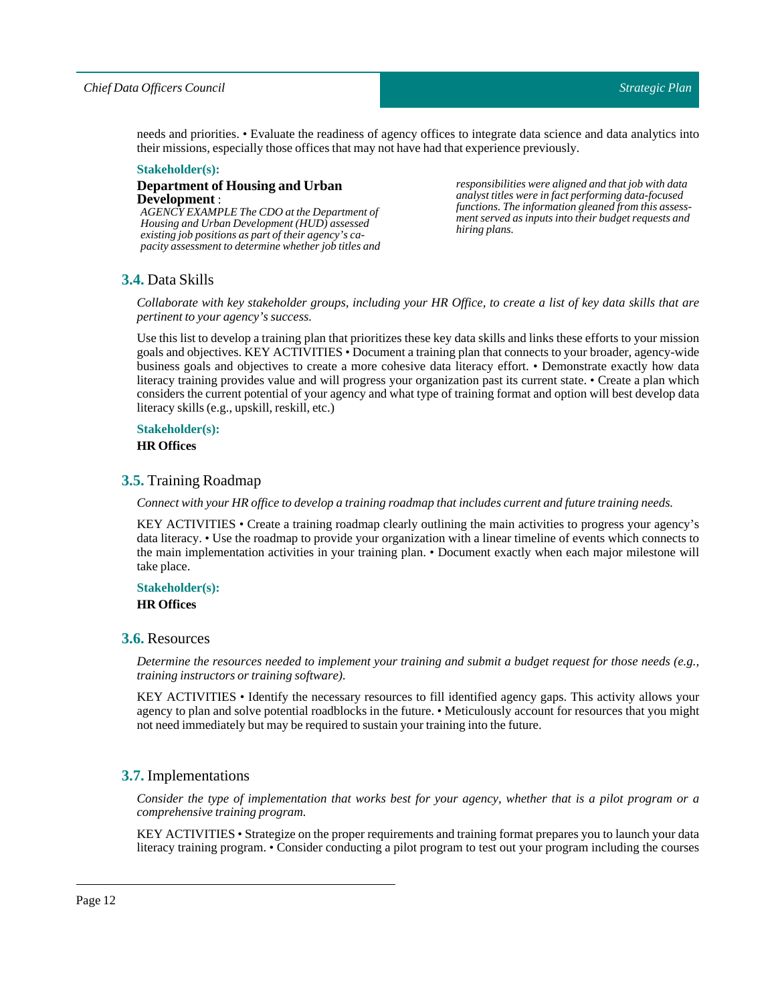### *Chief Data Officers Council*

needs and priorities. • Evaluate the readiness of agency offices to integrate data science and data analytics into their missions, especially those offices that may not have had that experience previously.

#### **Stakeholder(s):**

### **Department of Housing and Urban Development** :

*AGENCY EXAMPLE The CDO at the Department of Housing and Urban Development (HUD) assessed existing job positions as part of their agency's capacity assessment to determine whether job titles and* *responsibilities were aligned and that job with data analyst titles were in fact performing data-focused functions. The information gleaned from this assessment served as inputs into their budget requests and hiring plans.*

# <span id="page-11-0"></span>**3.4.** Data Skills

Collaborate with key stakeholder groups, including your HR Office, to create a list of key data skills that are *pertinent to your agency's success.* 

Use this list to develop a training plan that prioritizes these key data skills and links these efforts to your mission goals and objectives. KEY ACTIVITIES• Document a training plan that connects to your broader, agency-wide business goals and objectives to create a more cohesive data literacy effort. • Demonstrate exactly how data literacy training provides value and will progress your organization past its current state. • Create a plan which considers the current potential of your agency and what type of training format and option will best develop data literacy skills (e.g., upskill, reskill, etc.)

# **Stakeholder(s):**

**HR Offices**

### <span id="page-11-1"></span>**3.5.** Training Roadmap

*Connect with your HR office to develop a training roadmap thatincludes current and future training needs.*

KEY ACTIVITIES • Create a training roadmap clearly outlining the main activities to progress your agency's data literacy. • Use the roadmap to provide your organization with a linear timeline of events which connects to the main implementation activities in your training plan. • Document exactly when each major milestone will take place.

# **Stakeholder(s):**

# **HR Offices**

# <span id="page-11-2"></span>**3.6.** Resources

Determine the resources needed to implement your training and submit a budget request for those needs (e.g., *training instructors or training software).*

KEY ACTIVITIES • Identify the necessary resources to fill identified agency gaps. This activity allows your agency to plan and solve potential roadblocks in the future. • Meticulously account for resources that you might not need immediately but may be required to sustain your training into the future.

# <span id="page-11-3"></span>**3.7.** Implementations

Consider the type of implementation that works best for your agency, whether that is a pilot program or a *comprehensive training program.*

KEY ACTIVITIES• Strategize on the proper requirements and training format prepares you to launch your data literacy training program. • Consider conducting a pilot program to test out your program including the courses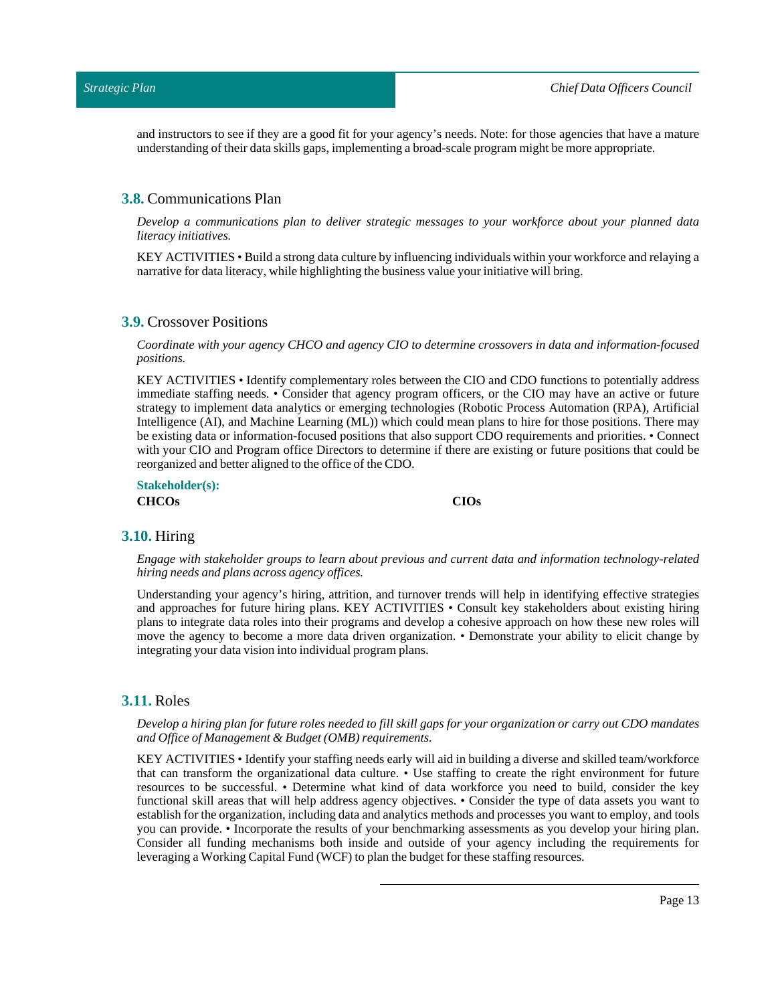and instructors to see if they are a good fit for your agency's needs. Note: for those agencies that have a mature understanding of their data skills gaps, implementing a broad-scale program might be more appropriate.

### <span id="page-12-0"></span>**3.8.** Communications Plan

*Develop a communications plan to deliver strategic messages to your workforce about your planned data literacy initiatives.*

KEY ACTIVITIES• Build a strong data culture by influencing individuals within your workforce and relaying a narrative for data literacy, while highlighting the business value your initiative will bring.

### <span id="page-12-1"></span>**3.9.** Crossover Positions

*Coordinate with your agency CHCO and agency CIO to determine crossovers in data and information-focused positions.*

KEY ACTIVITIES • Identify complementary roles between the CIO and CDO functions to potentially address immediate staffing needs. • Consider that agency program officers, or the CIO may have an active or future strategy to implement data analytics or emerging technologies (Robotic Process Automation (RPA), Artificial Intelligence (AI), and Machine Learning (ML)) which could mean plans to hire for those positions. There may be existing data or information-focused positions that also support CDO requirements and priorities. • Connect with your CIO and Program office Directors to determine if there are existing or future positions that could be reorganized and better aligned to the office of the CDO.

**Stakeholder(s): CHCOs CIOs**

### <span id="page-12-2"></span>**3.10.** Hiring

*Engage with stakeholder groups to learn about previous and current data and information technology-related hiring needs and plans across agency offices.*

Understanding your agency's hiring, attrition, and turnover trends will help in identifying effective strategies and approaches for future hiring plans. KEY ACTIVITIES • Consult key stakeholders about existing hiring plans to integrate data roles into their programs and develop a cohesive approach on how these new roles will move the agency to become a more data driven organization. • Demonstrate your ability to elicit change by integrating your data vision into individual program plans.

### <span id="page-12-3"></span>**3.11.** Roles

### Develop a hiring plan for future roles needed to fill skill gaps for your organization or carry out CDO mandates *and Office of Management & Budget (OMB) requirements.*

KEY ACTIVITIES• Identify your staffing needs early will aid in building a diverse and skilled team/workforce that can transform the organizational data culture. • Use staffing to create the right environment for future resources to be successful. • Determine what kind of data workforce you need to build, consider the key functional skill areas that will help address agency objectives. • Consider the type of data assets you want to establish for the organization, including data and analytics methods and processes you want to employ, and tools you can provide. • Incorporate the results of your benchmarking assessments as you develop your hiring plan. Consider all funding mechanisms both inside and outside of your agency including the requirements for leveraging a Working Capital Fund (WCF) to plan the budget for these staffing resources.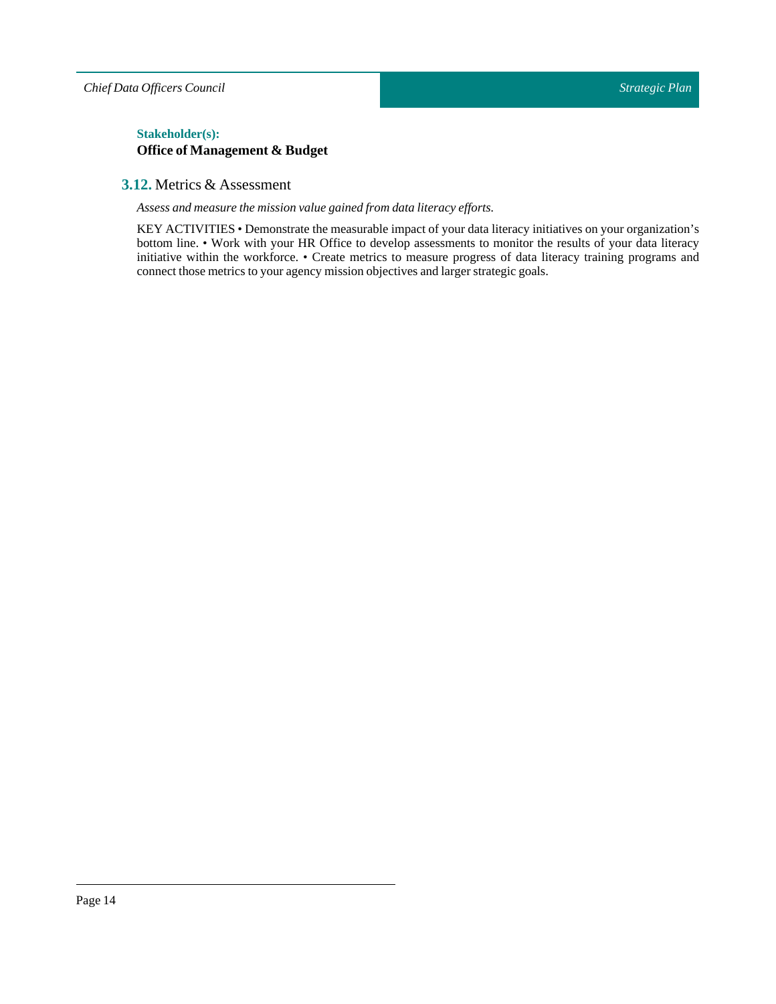*Chief Data Officers Council*

# $Stakeholder(s):$ **Office of Management & Budget**

# <span id="page-13-0"></span>**3.12.** Metrics & Assessment

*Assess and measure the mission value gained from data literacy efforts.*

KEY ACTIVITIES• Demonstrate the measurable impact of your data literacy initiatives on your organization's bottom line. • Work with your HR Office to develop assessments to monitor the results of your data literacy initiative within the workforce. • Create metrics to measure progress of data literacy training programs and connect those metrics to your agency mission objectives and larger strategic goals.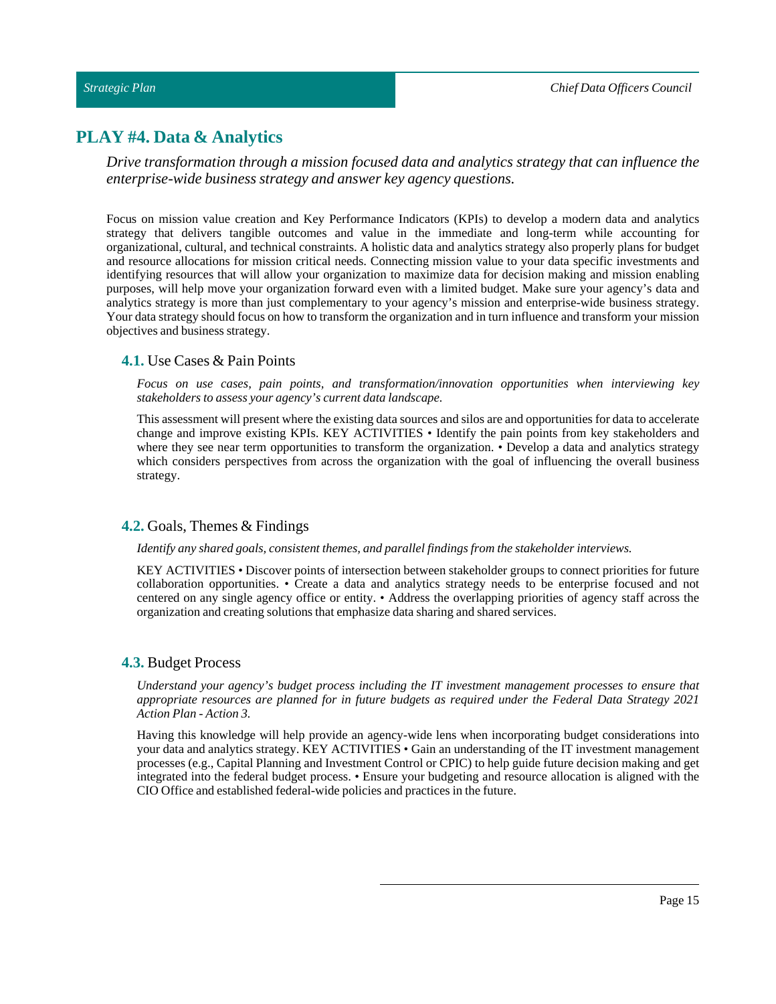# <span id="page-14-0"></span>**PLAY #4. Data & Analytics**

*Drive transformation through a mission focused data and analytics strategy that can influence the enterprise-wide business strategy and answer key agency questions.*

Focus on mission value creation and Key Performance Indicators (KPIs) to develop a modern data and analytics strategy that delivers tangible outcomes and value in the immediate and long-term while accounting for organizational, cultural, and technical constraints. A holistic data and analytics strategy also properly plans for budget and resource allocations for mission critical needs. Connecting mission value to your data specific investments and identifying resources that will allow your organization to maximize data for decision making and mission enabling purposes, will help move your organization forward even with a limited budget. Make sure your agency's data and analytics strategy is more than just complementary to your agency's mission and enterprise-wide business strategy. Your data strategy should focus on how to transform the organization and in turn influence and transform your mission objectives and business strategy.

# <span id="page-14-1"></span>**4.1.** Use Cases & Pain Points

*Focus on use cases, pain points, and transformation/innovation opportunities when interviewing key stakeholders to assess your agency's current data landscape.*

This assessment will present where the existing data sources and silos are and opportunities for data to accelerate change and improve existing KPIs. KEY ACTIVITIES • Identify the pain points from key stakeholders and where they see near term opportunities to transform the organization. • Develop a data and analytics strategy which considers perspectives from across the organization with the goal of influencing the overall business strategy.

# <span id="page-14-2"></span>**4.2.** Goals, Themes & Findings

### *Identify any shared goals, consistentthemes, and parallelfindings from the stakeholder interviews.*

KEY ACTIVITIES • Discover points of intersection between stakeholder groups to connect priorities for future collaboration opportunities. • Create a data and analytics strategy needs to be enterprise focused and not centered on any single agency office or entity. • Address the overlapping priorities of agency staff across the organization and creating solutions that emphasize data sharing and shared services.

# <span id="page-14-3"></span>**4.3.** Budget Process

*Understand your agency's budget process including the IT investment management processes to ensure that appropriate resources are planned for in future budgets as required under the Federal Data Strategy 2021 Action Plan - Action 3.*

Having this knowledge will help provide an agency-wide lens when incorporating budget considerations into your data and analytics strategy. KEY ACTIVITIES • Gain an understanding of the IT investment management processes (e.g., Capital Planning and Investment Control or CPIC) to help guide future decision making and get integrated into the federal budget process. • Ensure your budgeting and resource allocation is aligned with the CIO Office and established federal-wide policies and practices in the future.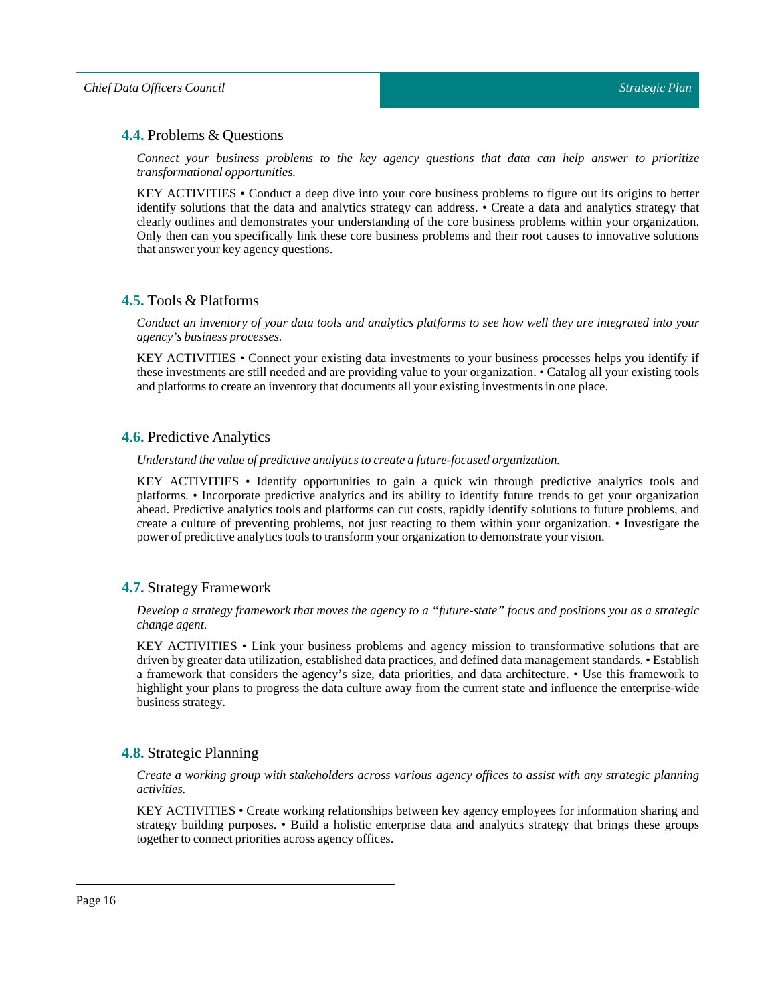# <span id="page-15-0"></span>**4.4.** Problems & Questions

*Connect your business problems to the key agency questions that data can help answer to prioritize transformational opportunities.*

KEY ACTIVITIES • Conduct a deep dive into your core business problems to figure out its origins to better identify solutions that the data and analytics strategy can address. • Create a data and analytics strategy that clearly outlines and demonstrates your understanding of the core business problems within your organization. Only then can you specifically link these core business problems and their root causes to innovative solutions that answer your key agency questions.

# <span id="page-15-1"></span>**4.5.** Tools & Platforms

Conduct an inventory of your data tools and analytics platforms to see how well they are integrated into your *agency's business processes.*

KEY ACTIVITIES • Connect your existing data investments to your business processes helps you identify if these investments are still needed and are providing value to your organization. • Catalog all your existing tools and platforms to create an inventory that documents all your existing investments in one place.

# <span id="page-15-2"></span>**4.6.** Predictive Analytics

*Understand the value of predictive analytics to create a future-focused organization.*

KEY ACTIVITIES • Identify opportunities to gain a quick win through predictive analytics tools and platforms. • Incorporate predictive analytics and its ability to identify future trends to get your organization ahead. Predictive analytics tools and platforms can cut costs, rapidly identify solutions to future problems, and create a culture of preventing problems, not just reacting to them within your organization. • Investigate the power of predictive analytics tools to transform your organization to demonstrate your vision.

# <span id="page-15-3"></span>**4.7.** Strategy Framework

Develop a strategy framework that moves the agency to a "future-state" focus and positions you as a strategic *change agent.*

KEY ACTIVITIES • Link your business problems and agency mission to transformative solutions that are driven by greater data utilization, established data practices, and defined data management standards. • Establish a framework that considers the agency's size, data priorities, and data architecture. • Use this framework to highlight your plans to progress the data culture away from the current state and influence the enterprise-wide business strategy.

# <span id="page-15-4"></span>**4.8.** Strategic Planning

*Create a working group with stakeholders across various agency offices to assist with any strategic planning activities.*

KEY ACTIVITIES • Create working relationships between key agency employees for information sharing and strategy building purposes. • Build a holistic enterprise data and analytics strategy that brings these groups together to connect priorities across agency offices.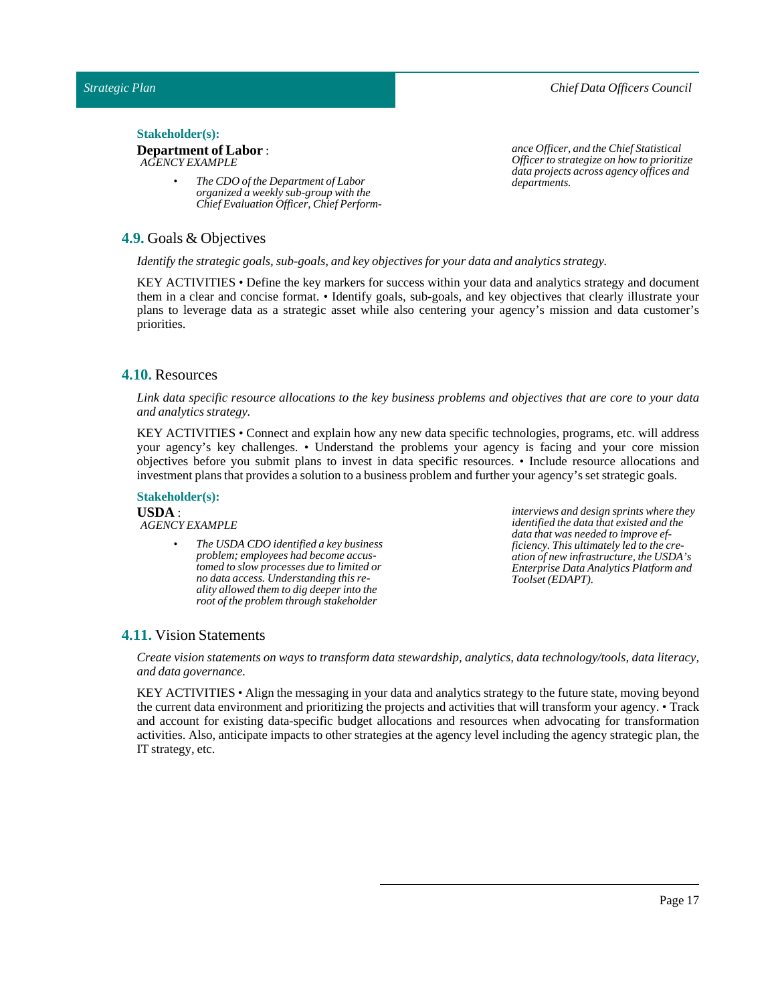### *Chief Data Officers Council*

### Stakeholder(s):

#### **Department of Labor** : *AGENCY EXAMPLE*

*• The CDO of the Department of Labor organized a weekly sub-group with the Chief Evaluation Officer, Chief Perform-*

# <span id="page-16-0"></span>**4.9.** Goals & Objectives

*Identify the strategic goals, sub-goals, and key objectives for your data and analytics strategy.*

KEY ACTIVITIES • Define the key markers for success within your data and analytics strategy and document them in a clear and concise format. • Identify goals, sub-goals, and key objectives that clearly illustrate your plans to leverage data as a strategic asset while also centering your agency's mission and data customer's priorities.

# <span id="page-16-1"></span>**4.10.** Resources

Link data specific resource allocations to the key business problems and objectives that are core to your data *and analytics strategy.*

KEY ACTIVITIES • Connect and explain how any new data specific technologies, programs, etc. will address your agency's key challenges. • Understand the problems your agency is facing and your core mission objectives before you submit plans to invest in data specific resources. • Include resource allocations and investment plans that provides a solution to a business problem and further your agency's set strategic goals.

### **Stakeholder(s):**

**USDA** : *AGENCY EXAMPLE*

> *• The USDA CDO identified a key business problem; employees had become accustomed to slow processes due to limited or no data access. Understanding this reality allowed them to dig deeper into the root of the problem through stakeholder*

*interviews and design sprints where they identified the data that existed and the data that was needed to improve efficiency. This ultimately led to the creation of new infrastructure, the USDA's Enterprise Data Analytics Platform and Toolset (EDAPT).*

# <span id="page-16-2"></span>**4.11.** Vision Statements

*Create vision statements on ways to transform data stewardship, analytics, data technology/tools, data literacy, and data governance.*

KEY ACTIVITIES • Align the messaging in your data and analytics strategy to the future state, moving beyond the current data environment and prioritizing the projects and activities that will transform your agency. • Track and account for existing data-specific budget allocations and resources when advocating for transformation activities. Also, anticipate impacts to other strategies at the agency level including the agency strategic plan, the IT strategy, etc.

*ance Officer, and the Chief Statistical Officer to strategize on how to prioritize data projects across agency offices and departments.*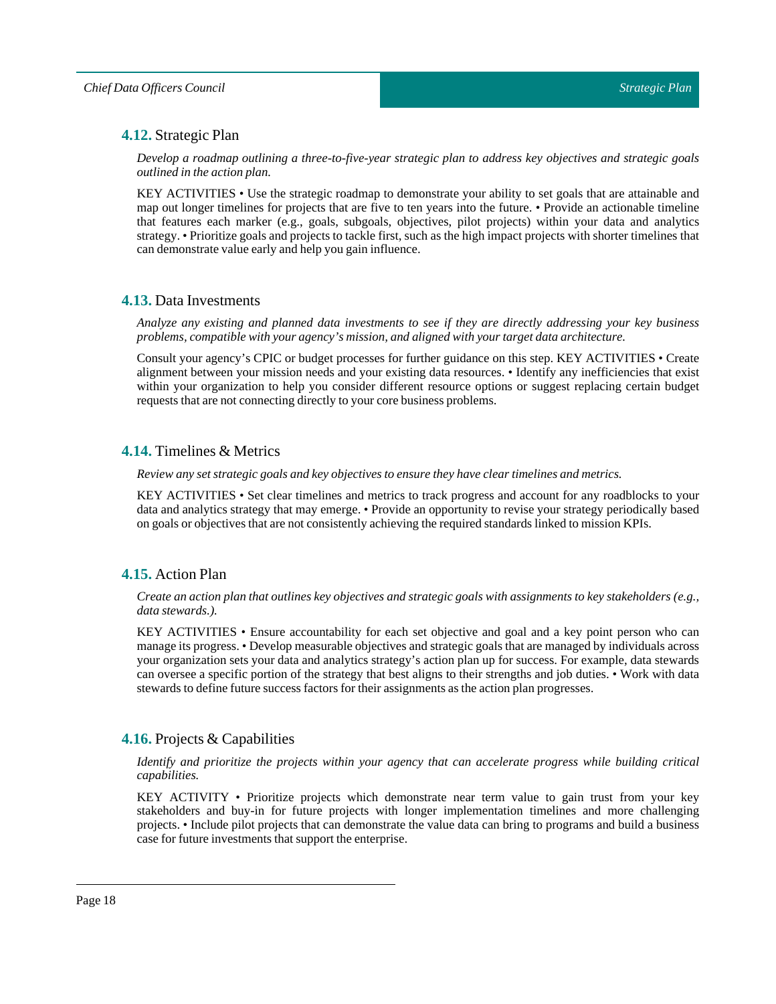# <span id="page-17-0"></span>**4.12.** Strategic Plan

*Develop a roadmap outlining a three-to-five-year strategic plan to address key objectives and strategic goals outlined in the action plan.*

KEY ACTIVITIES • Use the strategic roadmap to demonstrate your ability to set goals that are attainable and map out longer timelines for projects that are five to ten years into the future. • Provide an actionable timeline that features each marker (e.g., goals, subgoals, objectives, pilot projects) within your data and analytics strategy. • Prioritize goals and projects to tackle first, such as the high impact projects with shorter timelines that can demonstrate value early and help you gain influence.

# <span id="page-17-1"></span>**4.13.** Data Investments

Analyze any existing and planned data investments to see if they are directly addressing your key business *problems, compatible with your agency's mission, and aligned with your target data architecture.*

Consult your agency's CPIC or budget processes for further guidance on this step. KEY ACTIVITIES • Create alignment between your mission needs and your existing data resources. • Identify any inefficiencies that exist within your organization to help you consider different resource options or suggest replacing certain budget requests that are not connecting directly to your core business problems.

# <span id="page-17-2"></span>**4.14.** Timelines & Metrics

*Review any set strategic goals and key objectives to ensure they have clear timelines and metrics.*

KEY ACTIVITIES • Set clear timelines and metrics to track progress and account for any roadblocks to your data and analytics strategy that may emerge. • Provide an opportunity to revise your strategy periodically based on goals or objectives that are not consistently achieving the required standards linked to mission KPIs.

# <span id="page-17-3"></span>**4.15.** Action Plan

Create an action plan that outlines key objectives and strategic goals with assignments to key stakeholders (e.g., *data stewards.).*

KEY ACTIVITIES • Ensure accountability for each set objective and goal and a key point person who can manage its progress. • Develop measurable objectives and strategic goals that are managed by individuals across your organization sets your data and analytics strategy's action plan up for success. For example, data stewards can oversee a specific portion of the strategy that best aligns to their strengths and job duties. • Work with data stewards to define future success factors for their assignments as the action plan progresses.

# <span id="page-17-4"></span>**4.16.** Projects & Capabilities

*Identify and prioritize the projects within your agency that can accelerate progress while building critical capabilities.*

KEY ACTIVITY • Prioritize projects which demonstrate near term value to gain trust from your key stakeholders and buy-in for future projects with longer implementation timelines and more challenging projects. • Include pilot projects that can demonstrate the value data can bring to programs and build a business case for future investments that support the enterprise.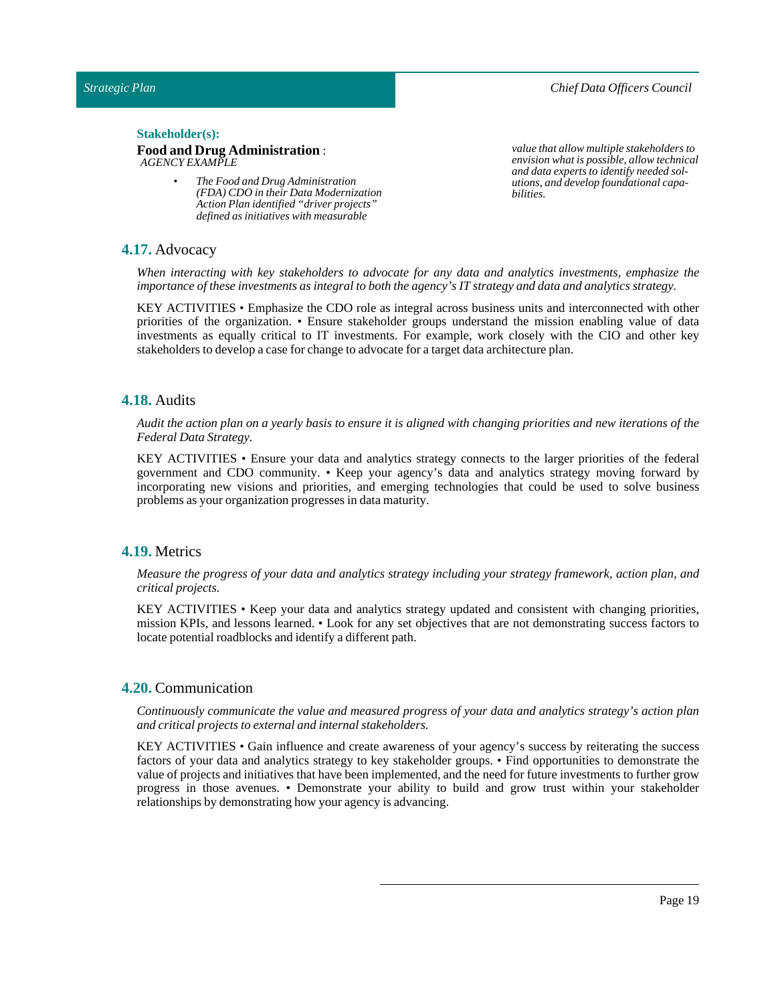*Chief Data Officers Council*

### $Stakeholder(s):$

### **Food and Drug Administration** : *AGENCY EXAMPLE*

*• The Food and Drug Administration (FDA) CDO in their Data Modernization Action Plan identified "driver projects" defined as initiatives with measurable*

*value that allow multiple stakeholders to envision what is possible, allow technical and data experts to identify needed solutions, and develop foundational capabilities.*

### <span id="page-18-0"></span>**4.17.** Advocacy

*When interacting with key stakeholders to advocate for any data and analytics investments, emphasize the importance* of these *investments* as *integral* to both the agency's IT strategy and data and analytics strategy.

KEY ACTIVITIES • Emphasize the CDO role as integral across business units and interconnected with other priorities of the organization. • Ensure stakeholder groups understand the mission enabling value of data investments as equally critical to IT investments. For example, work closely with the CIO and other key stakeholders to develop a case for change to advocate for a target data architecture plan.

### <span id="page-18-1"></span>**4.18.** Audits

Audit the action plan on a yearly basis to ensure it is aligned with changing priorities and new iterations of the *Federal Data Strategy.*

KEY ACTIVITIES • Ensure your data and analytics strategy connects to the larger priorities of the federal government and CDO community. • Keep your agency's data and analytics strategy moving forward by incorporating new visions and priorities, and emerging technologies that could be used to solve business problems as your organization progresses in data maturity.

### <span id="page-18-2"></span>**4.19.** Metrics

*Measure the progress of your data and analytics strategy including your strategy framework, action plan, and critical projects.*

KEY ACTIVITIES • Keep your data and analytics strategy updated and consistent with changing priorities, mission KPIs, and lessons learned. • Look for any set objectives that are not demonstrating success factors to locate potential roadblocks and identify a different path.

### <span id="page-18-3"></span>**4.20.** Communication

*Continuously communicate the value and measured progress of your data and analytics strategy's action plan and critical projects to external and internal stakeholders.*

KEY ACTIVITIES • Gain influence and create awareness of your agency's success by reiterating the success factors of your data and analytics strategy to key stakeholder groups. • Find opportunities to demonstrate the value of projects and initiatives that have been implemented, and the need for future investments to further grow progress in those avenues. • Demonstrate your ability to build and grow trust within your stakeholder relationships by demonstrating how your agency is advancing.